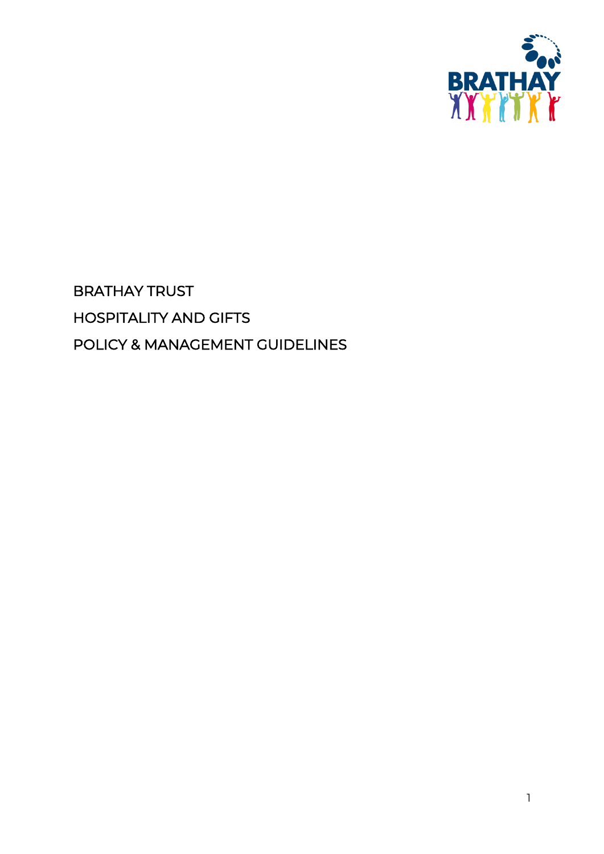

# BRATHAY TRUST HOSPITALITY AND GIFTS POLICY & MANAGEMENT GUIDELINES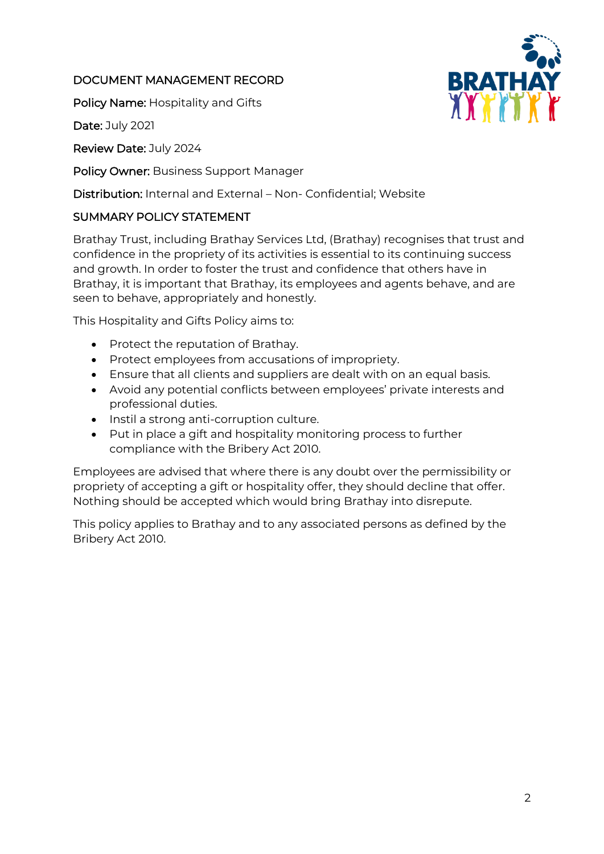## DOCUMENT MANAGEMENT RECORD

Policy Name: Hospitality and Gifts

Date: July 2021

Review Date: July 2024

Policy Owner: Business Support Manager

Distribution: Internal and External – Non- Confidential; Website

## SUMMARY POLICY STATEMENT

Brathay Trust, including Brathay Services Ltd, (Brathay) recognises that trust and confidence in the propriety of its activities is essential to its continuing success and growth. In order to foster the trust and confidence that others have in Brathay, it is important that Brathay, its employees and agents behave, and are seen to behave, appropriately and honestly.

This Hospitality and Gifts Policy aims to:

- Protect the reputation of Brathay.
- Protect employees from accusations of impropriety.
- Ensure that all clients and suppliers are dealt with on an equal basis.
- Avoid any potential conflicts between employees' private interests and professional duties.
- Instil a strong anti-corruption culture.
- Put in place a gift and hospitality monitoring process to further compliance with the Bribery Act 2010.

Employees are advised that where there is any doubt over the permissibility or propriety of accepting a gift or hospitality offer, they should decline that offer. Nothing should be accepted which would bring Brathay into disrepute.

This policy applies to Brathay and to any associated persons as defined by the Bribery Act 2010.

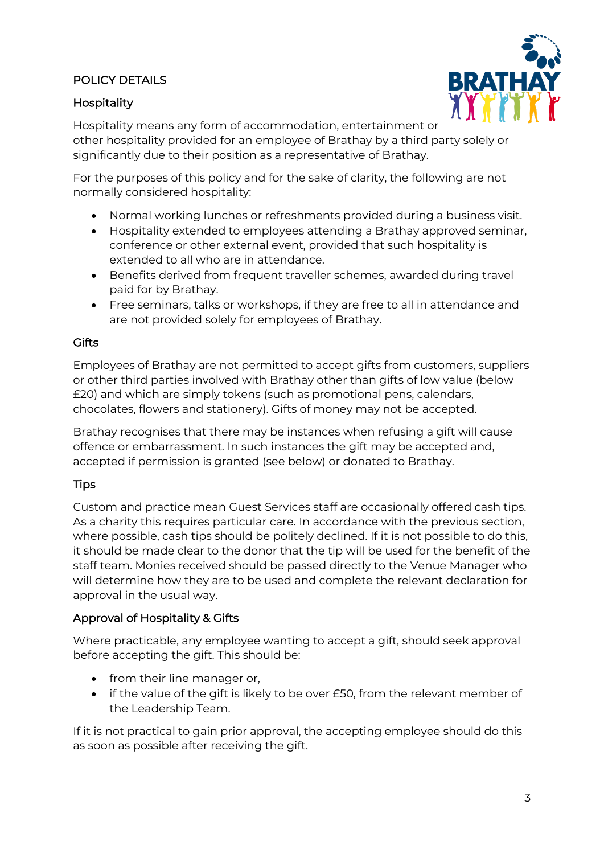# POLICY DETAILS

### Hospitality



Hospitality means any form of accommodation, entertainment or other hospitality provided for an employee of Brathay by a third party solely or significantly due to their position as a representative of Brathay.

For the purposes of this policy and for the sake of clarity, the following are not normally considered hospitality:

- Normal working lunches or refreshments provided during a business visit.
- Hospitality extended to employees attending a Brathay approved seminar, conference or other external event, provided that such hospitality is extended to all who are in attendance.
- Benefits derived from frequent traveller schemes, awarded during travel paid for by Brathay.
- Free seminars, talks or workshops, if they are free to all in attendance and are not provided solely for employees of Brathay.

#### **Gifts**

Employees of Brathay are not permitted to accept gifts from customers, suppliers or other third parties involved with Brathay other than gifts of low value (below £20) and which are simply tokens (such as promotional pens, calendars, chocolates, flowers and stationery). Gifts of money may not be accepted.

Brathay recognises that there may be instances when refusing a gift will cause offence or embarrassment. In such instances the gift may be accepted and, accepted if permission is granted (see below) or donated to Brathay.

### **Tips**

Custom and practice mean Guest Services staff are occasionally offered cash tips. As a charity this requires particular care. In accordance with the previous section, where possible, cash tips should be politely declined. If it is not possible to do this, it should be made clear to the donor that the tip will be used for the benefit of the staff team. Monies received should be passed directly to the Venue Manager who will determine how they are to be used and complete the relevant declaration for approval in the usual way.

### Approval of Hospitality & Gifts

Where practicable, any employee wanting to accept a gift, should seek approval before accepting the gift. This should be:

- from their line manager or,
- if the value of the gift is likely to be over £50, from the relevant member of the Leadership Team.

If it is not practical to gain prior approval, the accepting employee should do this as soon as possible after receiving the gift.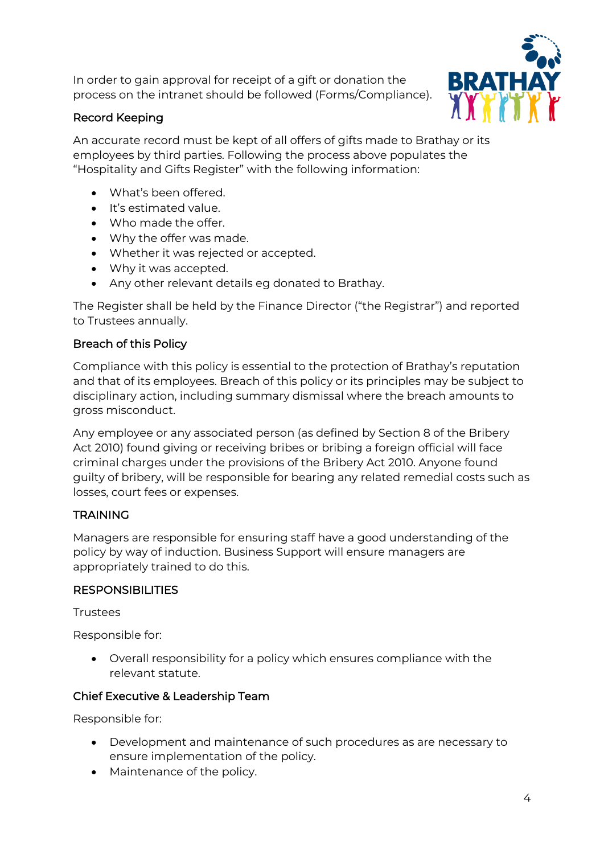In order to gain approval for receipt of a gift or donation the process on the intranet should be followed (Forms/Compliance).



## Record Keeping

An accurate record must be kept of all offers of gifts made to Brathay or its employees by third parties. Following the process above populates the "Hospitality and Gifts Register" with the following information:

- What's been offered.
- It's estimated value.
- Who made the offer.
- Why the offer was made.
- Whether it was rejected or accepted.
- Why it was accepted.
- Any other relevant details eg donated to Brathay.

The Register shall be held by the Finance Director ("the Registrar") and reported to Trustees annually.

## Breach of this Policy

Compliance with this policy is essential to the protection of Brathay's reputation and that of its employees. Breach of this policy or its principles may be subject to disciplinary action, including summary dismissal where the breach amounts to gross misconduct.

Any employee or any associated person (as defined by Section 8 of the Bribery Act 2010) found giving or receiving bribes or bribing a foreign official will face criminal charges under the provisions of the Bribery Act 2010. Anyone found guilty of bribery, will be responsible for bearing any related remedial costs such as losses, court fees or expenses.

# **TRAINING**

Managers are responsible for ensuring staff have a good understanding of the policy by way of induction. Business Support will ensure managers are appropriately trained to do this.

# **RESPONSIBILITIES**

**Trustees** 

Responsible for:

• Overall responsibility for a policy which ensures compliance with the relevant statute.

# Chief Executive & Leadership Team

Responsible for:

- Development and maintenance of such procedures as are necessary to ensure implementation of the policy.
- Maintenance of the policy.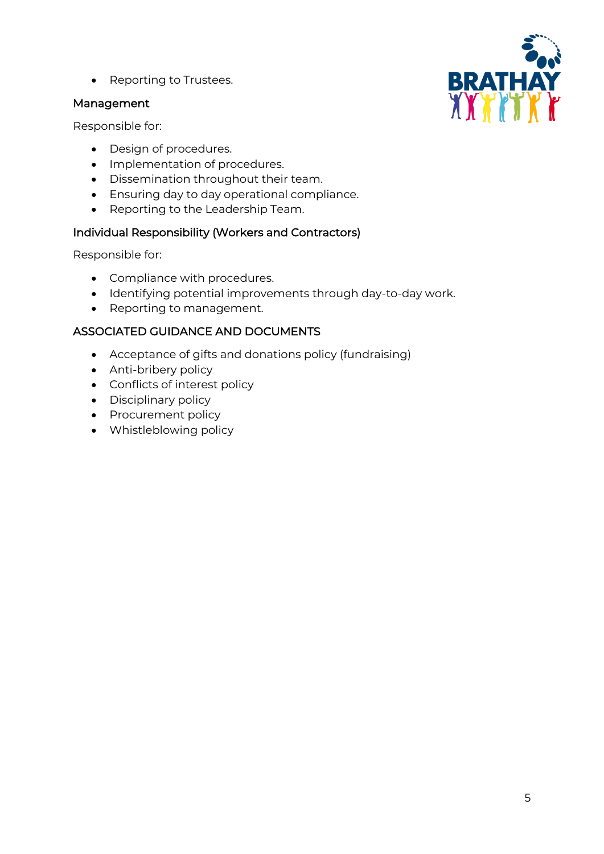• Reporting to Trustees.

#### Management

Responsible for:

- Design of procedures.
- Implementation of procedures.
- Dissemination throughout their team.
- Ensuring day to day operational compliance.
- Reporting to the Leadership Team.

### Individual Responsibility (Workers and Contractors)

Responsible for:

- Compliance with procedures.
- Identifying potential improvements through day-to-day work.
- Reporting to management.

## ASSOCIATED GUIDANCE AND DOCUMENTS

- Acceptance of gifts and donations policy (fundraising)
- Anti-bribery policy
- Conflicts of interest policy
- Disciplinary policy
- Procurement policy
- Whistleblowing policy